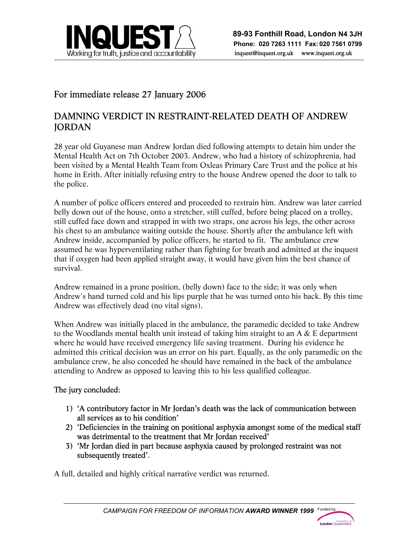

## For immediate release 27 January 2006

## DAMNING VERDICT IN RESTRAINT-RELATED DEATH OF ANDREW **JORDAN**

j

28 year old Guyanese man Andrew Jordan died following attempts to detain him under the Mental Health Act on 7th October 2003. Andrew, who had a history of schizophrenia, had been visited by a Mental Health Team from Oxleas Primary Care Trust and the police at his home in Erith. After initially refusing entry to the house Andrew opened the door to talk to the police.

A number of police officers entered and proceeded to restrain him. Andrew was later carried belly down out of the house, onto a stretcher, still cuffed, before being placed on a trolley, still cuffed face down and strapped in with two straps, one across his legs, the other across his chest to an ambulance waiting outside the house. Shortly after the ambulance left with Andrew inside, accompanied by police officers, he started to fit. The ambulance crew assumed he was hyperventilating rather than fighting for breath and admitted at the inquest that if oxygen had been applied straight away, it would have given him the best chance of survival.

Andrew remained in a prone position, (belly down) face to the side; it was only when Andrew's hand turned cold and his lips purple that he was turned onto his back. By this time Andrew was effectively dead (no vital signs).

When Andrew was initially placed in the ambulance, the paramedic decided to take Andrew to the Woodlands mental health unit instead of taking him straight to an  $A \& E$  department where he would have received emergency life saving treatment. During his evidence he admitted this critical decision was an error on his part. Equally, as the only paramedic on the ambulance crew, he also conceded he should have remained in the back of the ambulance attending to Andrew as opposed to leaving this to his less qualified colleague.

### The jury concluded:

- 1) 'A contributory factor in Mr Jordan's death was the lack of communication between all services as to his condition'
- 2) 'Deficiencies in the training on positional asphyxia amongst some of the medical staff was detrimental to the treatment that Mr Jordan received'
- 3) 'Mr Jordan died in part because asphyxia caused by prolonged restraint was not subsequently treated'.

A full, detailed and highly critical narrative verdict was returned.

London Gove